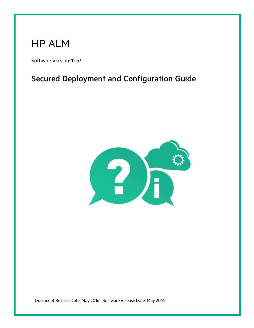# HP ALM

Software Version: 12.53

### Secured Deployment and Configuration Guide



Document Release Date: May 2016 | Software Release Date: May 2016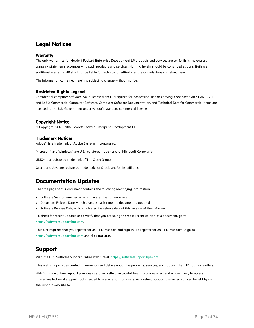### Legal Notices

#### **Warranty**

The only warranties for Hewlett Packard Enterprise Development LP products and services are set forth in the express warranty statements accompanying such products and services. Nothing herein should be construed as constituting an additional warranty. HP shall not be liable for technical or editorial errors or omissions contained herein.

The information contained herein is subject to change without notice.

#### Restricted Rights Legend

Confidential computer software. Valid license from HP required for possession, use or copying. Consistent with FAR 12.211 and 12.212, Commercial Computer Software, Computer Software Documentation, and Technical Data for Commercial Items are licensed to the U.S. Government under vendor's standard commercial license.

#### Copyright Notice

© Copyright 2002 - 2016 Hewlett Packard Enterprise Development LP

#### Trademark Notices

Adobe™ is a trademark of Adobe Systems Incorporated.

Microsoft® and Windows® are U.S. registered trademarks of Microsoft Corporation.

UNIX® is a registered trademark of The Open Group.

Oracle and Java are registered trademarks of Oracle and/or its affiliates.

### Documentation Updates

The title page of this document contains the following identifying information:

- Software Version number, which indicates the software version.
- Document Release Date, which changes each time the document is updated.
- Software Release Date, which indicates the release date of this version of the software.

To check for recent updates or to verify that you are using the most recent edition of a document, go to: [https://softwaresupport.hpe.com](https://softwaresupport.hpe.com/).

This site requires that you register for an HPE Passport and sign in. To register for an HPE Passport ID, go to [https://softwaresupport.hpe.com](https://softwaresupport.hpe.com/) and click **Register**.

### Support

Visit the HPE Software Support Online web site at: [https://softwaresupport.hpe.com](https://softwaresupport.hpe.com/)

This web site provides contact information and details about the products, services, and support that HPE Software offers.

HPE Software online support provides customer self-solve capabilities. It provides a fast and efficient way to access interactive technical support tools needed to manage your business. As a valued support customer, you can benefit by using the support web site to: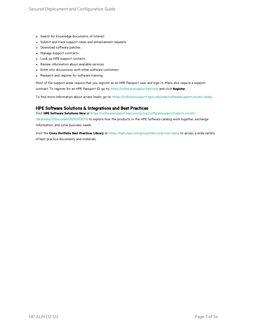- Search for knowledge documents of interest
- Submit and track support cases and enhancement requests
- Download software patches
- Manage support contracts
- Look up HPE support contacts
- Review information about available services
- Enter into discussions with other software customers
- Research and register for software training

Most of the support areas require that you register as an HPE Passport user and sign in. Many also require a support contract. To register for an HPE Passport ID, go to: [https://softwaresupport.hpe.com](https://softwaresupport.hpe.com/) and click **Register**.

To find more information about access levels, go to: [https://softwaresupport.hpe.com/web/softwaresupport/access-levels.](https://softwaresupport.hpe.com/web/softwaresupport/access-levels)

#### HPE Software Solutions & Integrations and Best Practices

Visit **HPE Software Solutions Now** at [https://softwaresupport.hpe.com/group/softwaresupport/search-result/-](https://softwaresupport.hpe.com/group/softwaresupport/search-result/-/facetsearch/document/KM01702710)

[/facetsearch/document/KM01702710](https://softwaresupport.hpe.com/group/softwaresupport/search-result/-/facetsearch/document/KM01702710) to explore how the products in the HPE Software catalog work together, exchange information, and solve business needs.

Visit the **Cross Portfolio Best Practices Library** at <https://hpln.hpe.com/group/best-practices-hpsw> to access a wide variety of best practice documents and materials.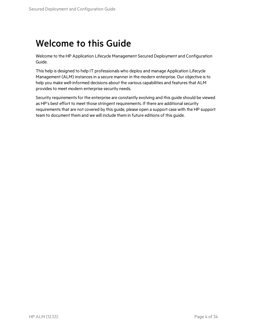## Welcome to this Guide

Welcome to the HP Application Lifecycle Management Secured Deployment and Configuration Guide.

This help is designed to help IT professionals who deploy and manage Application Lifecycle Management (ALM) instancesin a secure manner in the modern enterprise. Our objective isto help you make well-informed decisions about the various capabilities and features that ALM provides to meet modern enterprise security needs.

Security requirements for the enterprise are constantly evolving and this guide should be viewed as HP's best effort to meet those stringent requirements. If there are additional security requirements that are not covered by this guide, please open a support case with the HP support team to document them and we will include them in future editions of this guide.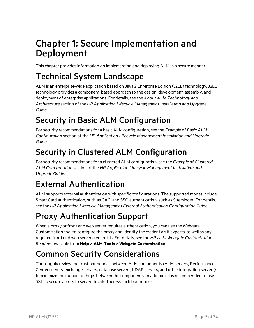## Chapter 1: Secure Implementation and Deployment

This chapter provides information on implementing and deploying ALM in a secure manner.

### Technical System Landscape

ALM is an enterprise-wide application based on Java 2 Enterprise Edition (J2EE) technology. J2EE technology provides a component-based approach to the design, development, assembly, and deployment of enterprise applications. For details, see the *About ALM Technology and Architecture* section of the *HP Application Lifecycle Management Installation and Upgrade Guide*.

## Security in Basic ALM Configuration

For security recommendations for a basic ALM configuration, see the *Example* of *Basic ALM Configuration* section of the *HP Application Lifecycle Management Installation and Upgrade Guide*.

## Security in Clustered ALM Configuration

Forsecurity recommendationsfor a clustered ALM configuration, see the *Example of Clustered ALM Configuration* section of the *HP Application Lifecycle Management Installation and Upgrade Guide*.

## External Authentication

ALM supports external authentication with specific configurations. The supported modesinclude Smart Card authentication, such as CAC, and SSO authentication, such as Siteminder. For details, see the *HP Application Lifecycle Management External Authentication Configuration Guide*.

## Proxy Authentication Support

When a proxy or front end web server requires authentication, you can use the Webgate Customization tool to configure the proxy and identify the credentials it expects, as well as any required front end web server credentials. For details, see the *HP ALM Webgate Customization Readme*, available from **Help > ALM Tools > Webgate Customization**.

## Common Security Considerations

Thoroughly review the trust boundaries between ALM components(ALM servers, Performance Center servers, exchange servers, database servers, LDAP servers, and other integrating servers) to minimize the number of hops between the components. In addition, it isrecommended to use SSL to secure access to servers located across such boundaries.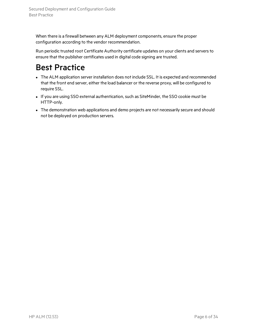When there is a firewall between any ALM deployment components, ensure the proper configuration according to the vendor recommendation.

Run periodic trusted root Certificate Authority certificate updates on your clients and servers to ensure that the publisher certificates used in digital code signing are trusted.

## Best Practice

- The ALM application server installation does not include SSL. It is expected and recommended that the front end server, either the load balancer or the reverse proxy, will be configured to require SSL.
- If you are using SSO external authentication, such as SiteMinder, the SSO cookie must be HTTP-only.
- The demonstration web applications and demo projects are not necessarily secure and should not be deployed on production servers.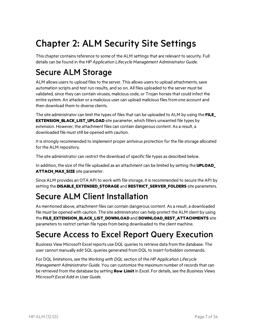# Chapter 2: ALM Security Site Settings

This chapter contains reference to some of the ALM settings that are relevant to security. Full details can be found in the *HP Application Lifecycle Management Administrator Guide*.

## Secure ALM Storage

ALM allows users to upload files to the server. This allows users to upload attachments, save automation scripts and test run results, and so on. All files uploaded to the server must be validated, since they can contain viruses, malicious code, or Trojan horsesthat could infect the entire system. An attacker or a malicious user can upload malicious files from one account and then download them to diverse clients.

The site administrator can limit the types of files that can be uploaded to ALM by using the **FILE EXTENSION\_BLACK\_LIST\_UPLOAD** site parameter, which filters unwanted file types by extension. However, the attachment files can contain dangerous content. As a result, a downloaded file must still be opened with caution.

It isstrongly recommended to implement proper antivirus protection for the file storage allocated for the ALM repository.

The site administrator can restrict the download of specific file types as described below.

In addition, the size of the file uploaded as an attachment can be limited by setting the **UPLOAD\_ ATTACH MAX SIZE** site parameter.

Since ALM provides an OTA API to work with file storage, it isrecommended to secure the API by setting the **DISABLE\_EXTENDED\_STORAGE** and **RESTRICT\_SERVER\_FOLDERS** site parameters.

## Secure ALM Client Installation

As mentioned above, attachment files can contain dangerous content. As a result, a downloaded file must be opened with caution. The site administrator can help protect the ALM client by using the **FILE\_EXTENSION\_BLACK\_LIST\_DOWNLOAD** and **DOWNLOAD\_REST\_ATTACHMENTS** site parameters to restrict certain file types from being downloaded to the client machine.

## Secure Access to Excel Report Query Execution

Business View Microsoft Excel reports use DQL queries to retrieve data from the database. The user cannot manually edit SQL queries generated from DQL to insert forbidden commands.

For DQL limitations, see the *Working with DQL* section of the *HP Application Lifecycle Management Administrator Guide*. You can customize the maximum number of recordsthat can be retrieved from the database by setting **Row Limit**in Excel. For details, see the *Business Views Microsoft Excel Add-in User Guide*.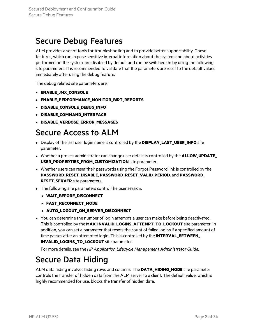### Secure Debug Features

ALM provides a set of tools for troubleshooting and to provide better supportability. These features, which can expose sensitive internal information about the system and about activities performed on the system, are disabled by default and can be switched on by using the following site parameters. It isrecommended to validate that the parameters are reset to the default values immediately after using the debug feature.

The debug related site parameters are:

- **ENABLE JMX CONSOLE**
- <sup>l</sup> **ENABLE\_PERFORMANCE\_MONITOR\_BIRT\_REPORTS**
- <sup>l</sup> **DISABLE\_CONSOLE\_DEBUG\_INFO**
- **DISABLE COMMAND INTERFACE**
- **DISABLE VERBOSE ERROR MESSAGES**

### Secure Access to ALM

- **.** Display of the last user login name is controlled by the **DISPLAY LAST USER INFO** site parameter.
- **Whether a project administrator can change user details is controlled by the <b>ALLOW UPDATE USER\_PROPERTIES\_FROM\_CUSTOMIZATION** site parameter.
- Whether users can reset their passwords using the Forgot Password link is controlled by the **PASSWORD\_RESET\_DISABLE**, **PASSWORD\_RESET\_VALID\_PERIOD**, and **PASSWORD\_ RESET\_SERVER** site parameters.
- The following site parameters control the user session:
	- <sup>l</sup> **WAIT\_BEFORE\_DISCONNECT**
	- **FAST RECONNECT MODE**
	- **AUTO LOGOUT ON SERVER DISCONNECT**
- You can determine the number of login attempts a user can make before being deactivated. This is controlled by the **MAX\_INVALID\_LOGINS\_ATTEMPT\_TO\_LOCKOUT** site parameter. In addition, you can set a parameter that resets the count of failed logins if a specified amount of time passes after an attempted login. Thisis controlled by the **INTERVAL\_BETWEEN\_ INVALID LOGINS TO LOCKOUT** site parameter.

For more details, see the *HP Application Lifecycle Management Administrator Guide*.

### Secure Data Hiding

ALM data hiding involves hiding rows and columns. The **DATA\_HIDING\_MODE** site parameter controls the transfer of hidden data from the ALM server to a client. The default value, which is highly recommended for use, blocks the transfer of hidden data.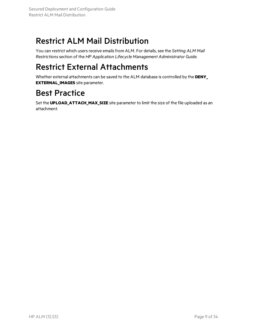## Restrict ALM Mail Distribution

You can restrict which users receive emails from ALM. For details, see the *Setting ALM Mail Restrictions*section of the *HP Application Lifecycle Management Administrator Guide*.

## Restrict External Attachments

Whether external attachments can be saved to the ALM database is controlled by the **DENY\_ EXTERNAL\_IMAGES** site parameter.

## Best Practice

Set the **UPLOAD\_ATTACH\_MAX\_SIZE** site parameter to limit the size of the file uploaded as an attachment.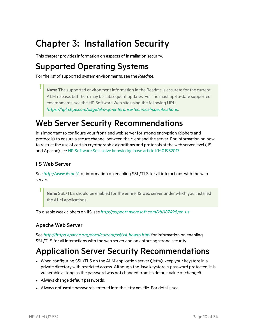# Chapter 3: Installation Security

This chapter provides information on aspects of installation security.

## Supported Operating Systems

For the list of supported system environments, see the *Readme*.

**Note:** The supported environment information in the Readme is accurate for the current ALM release, but there may be subsequent updates. For the most up-to-date supported environments, see the HP Software Web site using the following URL: *<https://hpln.hpe.com/page/alm-qc-enterprise-technical-specifications>*.

## Web Server Security Recommendations

It isimportant to configure your front-end web server forstrong encryption (ciphers and protocols) to ensure a secure channel between the client and the server. For information on how to restrict the use of certain cryptographic algorithms and protocols at the web server level (IIS and Apache) see HP Software Self-solve knowledge base article [KM01952017.](https://softwaresupport.hpe.com/km/KM01250947)

### IIS Web Server

See *<http://www.iis.net/>* for information on enabling SSL/TLS for all interactions with the web server.

**Note:** SSL/TLS should be enabled for the entire IIS web server under which you installed the ALM applications.

To disable weak ciphers on IIS, see *<http://support.microsoft.com/kb/187498/en-us>*.

### Apache Web Server

See *[http://httpd.apache.org/docs/current/ssl/ssl\\_howto.html](http://httpd.apache.org/docs/current/ssl/ssl_howto.html)* for information on enabling SSL/TLS for all interactions with the web server and on enforcing strong security.

## Application Server Security Recommendations

- When configuring SSL/TLS on the ALM application server (Jetty), keep your keystore in a private directory with restricted access. Although the Java keystore is password protected, it is vulnerable aslong asthe password was not changed from its default value of *changeit*.
- Always change default passwords.
- Always obfuscate passwords entered into the jetty.xml file. For details, see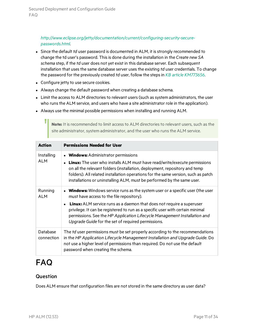#### *[http://www.eclipse.org/jetty/documentation/current/configuring-security-secure](http://www.eclipse.org/jetty/documentation/current/configuring-security-secure-passwords.html)[passwords.html](http://www.eclipse.org/jetty/documentation/current/configuring-security-secure-passwords.html)*.

- Since the default *td* user password is documented in ALM, it is strongly recommended to change the td user's password. Thisis done during the installation in the *Create new SA schema* step, if the *td* user does not yet exist in this database server. Each subsequent installation that uses the same database server uses the existing *td* user credentials. To change the password for the previously created *td* user, follow the stepsin *KB article [KM773656](http://support.openview.hp.com/selfsolve/document/KM773656)*.
- Configure jetty to use secure cookies.
- Always change the default password when creating a database schema.
- Limit the access to ALM directories to relevant users (such as system administrators, the user who runs the ALM service, and users who have a site administrator role in the application).
- Always use the minimal possible permissions when installing and running ALM.

**Note:** It is recommended to limit access to ALM directories to relevant users, such as the site administrator, system administrator, and the user who runs the ALM service.

| <b>Action</b>            | <b>Permissions Needed for User</b>                                                                                                                                                                                                                                                                                       |
|--------------------------|--------------------------------------------------------------------------------------------------------------------------------------------------------------------------------------------------------------------------------------------------------------------------------------------------------------------------|
| Installing<br><b>ALM</b> | <b>Windows:</b> Administrator permissions                                                                                                                                                                                                                                                                                |
|                          | • Linux: The user who installs ALM must have read/write/execute permissions<br>on all the relevant folders (installation, deployment, repository and temp<br>folders). All related installation operations for the same version, such as patch<br>installations or uninstalling ALM, must be performed by the same user. |
| Running<br><b>ALM</b>    | <b>Windows:</b> Windows service runs as the system user or a specific user (the user<br>must have access to the file repository).                                                                                                                                                                                        |
|                          | <b>Linux:</b> ALM service runs as a daemon that does not require a superuser<br>privilege. It can be registered to run as a specific user with certain minimal<br>permissions. See the HP Application Lifecycle Management Installation and<br>Upgrade Guide for the set of required permissions.                        |
| Database<br>connection   | The td user permissions must be set properly according to the recommendations<br>in the HP Application Lifecycle Management Installation and Upgrade Guide. Do<br>not use a higher level of permissions than required. Do not use the default<br>password when creating the schema.                                      |

## FAQ

#### Question

Does ALM ensure that configuration files are not stored in the same directory as user data?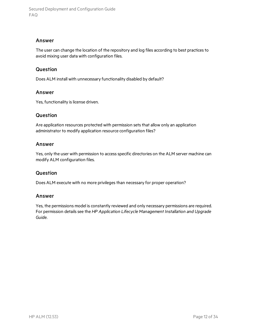#### Answer

The user can change the location of the repository and log files according to best practices to avoid mixing user data with configuration files.

#### Question

Does ALM install with unnecessary functionality disabled by default?

#### Answer

Yes, functionality is license driven.

#### Question

Are application resources protected with permission sets that allow only an application administrator to modify application resource configuration files?

#### Answer

Yes, only the user with permission to access specific directories on the ALM server machine can modify ALM configuration files.

#### **Question**

Does ALM execute with no more privileges than necessary for proper operation?

#### Answer

Yes, the permissions model is constantly reviewed and only necessary permissions are required. For permission detailssee the *HP Application Lifecycle Management Installation and Upgrade Guide*.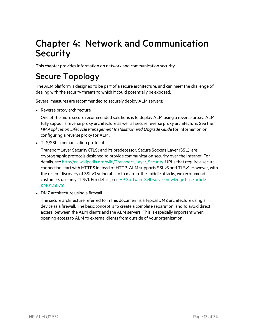## Chapter 4: Network and Communication **Security**

This chapter provides information on network and communication security.

## Secure Topology

The ALM platform is designed to be part of a secure architecture, and can meet the challenge of dealing with the security threats to which it could potentially be exposed.

Several measures are recommended to securely deploy ALM servers:

 $\bullet$  Reverse proxy architecture

One of the more secure recommended solutions is to deploy ALM using a reverse proxy. ALM fully supports reverse proxy architecture as well as secure reverse proxy architecture. See the *HP Application Lifecycle Management Installation and Upgrade Guide* for information on configuring a reverse proxy for ALM.

• TLS/SSL communication protocol

Transport Layer Security (TLS) and its predecessor, Secure Sockets Layer (SSL), are cryptographic protocols designed to provide communication security over the Internet. For details, see [http://en.wikipedia.org/wiki/Transport\\_Layer\\_Security.](http://en.wikipedia.org/wiki/Transport_Layer_Security) URLs that require a secure connection start with HTTPS instead of HTTP. ALM supports SSLv3 and TLSv1. However, with the recent discovery of SSLv3 vulnerability to man-in-the-middle attacks, we recommend customers use only TLSv1. For details, see HP Software Self-solve [knowledge](https://softwaresupport.hpe.com/km/KM01250751) base article [KM01250751](https://softwaresupport.hpe.com/km/KM01250751).

• DMZ architecture using a firewall

The secure architecture referred to in this document is a typical DMZ architecture using a device as a firewall. The basic concept is to create a complete separation, and to avoid direct access, between the ALM clients and the ALM servers. Thisis especially important when opening access to ALM to external clients from outside of your organization.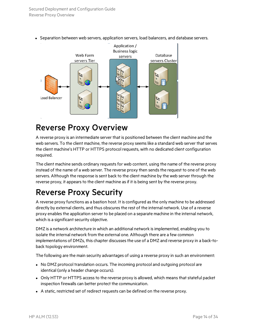

• Separation between web servers, application servers, load balancers, and database servers.

### Reverse Proxy Overview

A reverse proxy is an intermediate server that is positioned between the client machine and the web servers. To the client machine, the reverse proxy seems like a standard web server that serves the client machine's HTTP or HTTPS protocol requests, with no dedicated client configuration required.

The client machine sends ordinary requests for web content, using the name of the reverse proxy instead of the name of a web server. The reverse proxy then sends the request to one of the web servers. Although the response is sent back to the client machine by the web server through the reverse proxy, it appears to the client machine as if it is being sent by the reverse proxy.

## Reverse Proxy Security

A reverse proxy functions as a bastion host. It is configured asthe only machine to be addressed directly by external clients, and thus obscures the rest of the internal network. Use of a reverse proxy enables the application server to be placed on a separate machine in the internal network, which is a significant security objective.

DMZ is a network architecture in which an additional network isimplemented, enabling you to isolate the internal network from the external one. Although there are a few common implementations of DMZs, this chapter discussesthe use of a DMZ and reverse proxy in a back-toback topology environment.

The following are the main security advantages of using a reverse proxy in such an environment:

- No DMZ protocol translation occurs. The incoming protocol and outgoing protocol are identical (only a header change occurs).
- Only HTTP or HTTPS access to the reverse proxy is allowed, which means that stateful packet inspection firewalls can better protect the communication.
- A static, restricted set of redirect requests can be defined on the reverse proxy.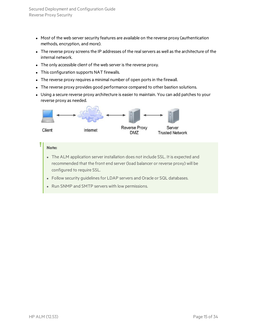- Most of the web server security features are available on the reverse proxy (authentication methods, encryption, and more).
- The reverse proxy screens the IP addresses of the real servers as well as the architecture of the internal network.
- The only accessible client of the web server is the reverse proxy.
- This configuration supports NAT firewalls.
- The reverse proxy requires a minimal number of open ports in the firewall.
- The reverse proxy provides good performance compared to other bastion solutions.
- Using a secure reverse proxy architecture is easier to maintain. You can add patches to your reverse proxy as needed.



#### **Note:**

ī

- The ALM application server installation does not include SSL. It is expected and recommended that the front end server (load balancer or reverse proxy) will be configured to require SSL.
- Follow security guidelines for LDAP servers and Oracle or SQL databases.
- Run SNMP and SMTP servers with low permissions.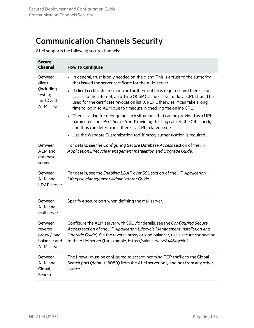## Communication Channels Security

ALM supports the following secure channels:

| <b>Secure</b><br><b>Channel</b>                                                      | <b>How to Configure</b>                                                                                                                                                                                                                                                                                                     |
|--------------------------------------------------------------------------------------|-----------------------------------------------------------------------------------------------------------------------------------------------------------------------------------------------------------------------------------------------------------------------------------------------------------------------------|
| <b>Between</b><br>client<br>(including<br>testing<br>tools) and<br><b>ALM</b> server | In general, trust is only needed on the client. This is a trust to the authority<br>$\bullet$<br>that issued the server certificate for the ALM server.<br>• If client certificate or smart card authentication is required, and there is no                                                                                |
|                                                                                      | access to the internet, an offline OCSP (cache) server or local CRL should be<br>used for the certificate revocation list (CRL). Otherwise, it can take a long<br>time to log in to ALM due to timeouts in checking the online CRL.                                                                                         |
|                                                                                      | There is a flag for debugging such situations that can be provided as a URL<br>$\bullet$<br>parameter, cancelcrlcheck=true. Providing this flag cancels the CRL check,<br>and thus can determine if there is a CRL related issue.                                                                                           |
|                                                                                      | • Use the Webgate Customization tool if proxy authentication is required.                                                                                                                                                                                                                                                   |
| <b>Between</b><br>ALM and<br>database<br>server                                      | For details, see the Configuring Secure Database Access section of the HP<br>Application Lifecycle Management Installation and Upgrade Guide.                                                                                                                                                                               |
| <b>Between</b><br>ALM and<br><b>LDAP</b> server                                      | For details, see the Enabling LDAP over SSL section of the HP Application<br>Lifecycle Management Administrator Guide.                                                                                                                                                                                                      |
| <b>Between</b><br>ALM and<br>mail server                                             | Specify a secure port when defining the mail server.                                                                                                                                                                                                                                                                        |
| <b>Between</b><br>reverse<br>proxy / load<br>balancer and<br><b>ALM</b> server       | Configure the ALM server with SSL (for details, see the Configuring Secure<br>Access section of the HP Application Lifecycle Management Installation and<br>Upgrade Guide). On the reverse proxy or load balancer, use a secure connection<br>to the ALM server (for example, https:// <almserver>:8443/qcbin).</almserver> |
| <b>Between</b><br>ALM and<br>Global<br>Search                                        | The firewall must be configured to accept incoming TCP traffic to the Global<br>Search port (default 18080) from the ALM server only and not from any other<br>source.                                                                                                                                                      |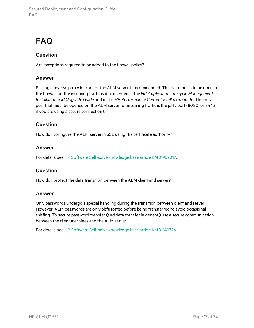## FAQ

#### **Question**

Are exceptions required to be added to the firewall policy?

#### Answer

Placing a reverse proxy in front of the ALM server is recommended. The list of ports to be open in the firewall for the incoming traffic is documented in the *HP Application Lifecycle Management Installation and Upgrade Guide* and in the *HP Performance Center Installation Guide*. The only port that must be opened on the ALM server for incoming traffic is the jetty port (8080, or 8443 if you are using a secure connection).

#### **Question**

How do I configure the ALM server in SSL using the certificate authority?

#### Answer

For details, see HP Software Self-solve knowledge base article [KM01952017](https://softwaresupport.hpe.com/km/KM00756791).

#### Question

How do I protect the data transition between the ALM client and server?

#### Answer

Only passwords undergo a special handling during the transition between client and server. However, ALM passwords are only obfuscated before being transferred to avoid occasional sniffing. To secure password transfer (and data transfer in general) use a secure communication between the client machines and the ALM server.

For details, see HP Software Self-solve knowledge base article [KM01149726](https://softwaresupport.hpe.com/km/KM01149726).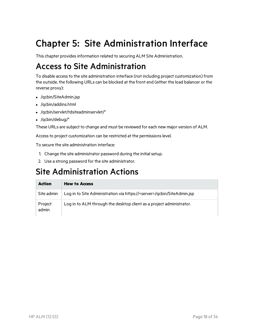# Chapter 5: Site Administration Interface

This chapter provides information related to securing ALM Site Administration.

## Access to Site Administration

To disable accessto the site administration interface (not including project customization) from the outside, the following URLs can be blocked at the front end (either the load balancer or the reverse proxy):

- /qcbin/SiteAdmin.jsp
- <sup>l</sup> /qcbin/addins.html
- /qcbin/servlet/tdsiteadminservlet/\*
- $\bullet$  /qcbin/debug/\*

These URLs are subject to change and must be reviewed for each new major version of ALM.

Access to project customization can be restricted at the permissions level.

To secure the site administration interface:

- 1. Change the site administrator password during the initial setup.
- 2. Use a strong password for the site administrator.

### Site Administration Actions

| <b>Action</b>    | <b>How to Access</b>                                                             |
|------------------|----------------------------------------------------------------------------------|
| Site admin       | Log in to Site Administration via https:// <server>/qcbin/SiteAdmin.jsp</server> |
| Project<br>admin | Log in to ALM through the desktop client as a project administrator.             |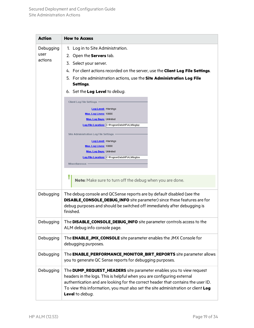| <b>Action</b>                | <b>How to Access</b>                                                                                                                                                                                                                                                                                                                                                                                                                                                                                                                                                                                                                                                                                           |  |
|------------------------------|----------------------------------------------------------------------------------------------------------------------------------------------------------------------------------------------------------------------------------------------------------------------------------------------------------------------------------------------------------------------------------------------------------------------------------------------------------------------------------------------------------------------------------------------------------------------------------------------------------------------------------------------------------------------------------------------------------------|--|
| Debugging<br>user<br>actions | 1. Log in to Site Administration.<br>2. Open the <b>Servers</b> tab.<br>3. Select your server.<br>4. For client actions recorded on the server, use the <b>Client Log File Settings</b> .<br>5. For site administration actions, use the Site Administration Log File<br>Settings.<br>6. Set the <b>Log Level</b> to <i>debug</i> .<br><b>Client Log File Settings</b><br><b>Log Level:</b> Warnings<br>Max. Log Lines: 10000<br><b>Max. Log Days: Unlimited</b><br>Log File Location: C: ProgramData HPVALMVogVqc<br><b>Site Administration Log File Settings</b><br><b>Log Level: Warnings</b><br>Max. Log Lines: 10000<br><b>Max. Log Days: Unlimited</b><br>Log File Location: C: ProgramDataVHPVALMVog\sa |  |
|                              | <b>Miscellaneous</b><br>Note: Make sure to turn off the debug when you are done.                                                                                                                                                                                                                                                                                                                                                                                                                                                                                                                                                                                                                               |  |
| Debugging                    | The debug console and QCSense reports are by default disabled (see the<br><b>DISABLE_CONSOLE_DEBUG_INFO</b> site parameter) since these features are for<br>debug purposes and should be switched off immediately after debugging is<br>finished.                                                                                                                                                                                                                                                                                                                                                                                                                                                              |  |
| Debugging                    | The DISABLE_CONSOLE_DEBUG_INFO site parameter controls access to the<br>ALM debug info console page.                                                                                                                                                                                                                                                                                                                                                                                                                                                                                                                                                                                                           |  |
| Debugging                    | The <b>ENABLE_JMX_CONSOLE</b> site parameter enables the JMX Console for<br>debugging purposes.                                                                                                                                                                                                                                                                                                                                                                                                                                                                                                                                                                                                                |  |
| Debugging                    | The <b>ENABLE_PERFORMANCE_MONITOR_BIRT_REPORTS</b> site parameter allows<br>you to generate QC Sense reports for debugging purposes.                                                                                                                                                                                                                                                                                                                                                                                                                                                                                                                                                                           |  |
| Debugging                    | The <b>DUMP_REQUEST_HEADERS</b> site parameter enables you to view request<br>headers in the logs. This is helpful when you are configuring external<br>authentication and are looking for the correct header that contains the user ID.<br>To view this information, you must also set the site administration or client Log<br>Level to debug.                                                                                                                                                                                                                                                                                                                                                               |  |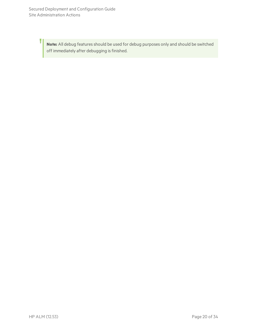Ţ

Note: All debug features should be used for debug purposes only and should be switched off immediately after debugging is finished.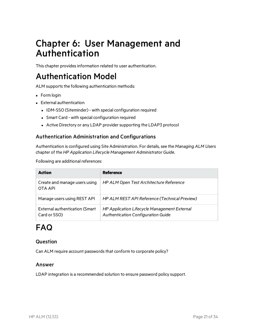## Chapter 6: User Management and Authentication

This chapter provides information related to user authentication.

## Authentication Model

ALM supports the following authentication methods:

- $\bullet$  Form login
- External authentication
	- IDM-SSO (Siteminder) with special configuration required
	- Smart Card with special configuration required
	- Active Directory or any LDAP provider supporting the LDAP3 protocol

#### Authentication Administration and Configurations

Authentication is configured using Site Administration. For details, see the *Managing ALM Users* chapter of the *HP Application Lifecycle Management Administrator Guide*.

Following are additional references:

| <b>Action</b>                                         | <b>Reference</b>                                                                          |
|-------------------------------------------------------|-------------------------------------------------------------------------------------------|
| Create and manage users using<br>OTA API              | HP ALM Open Test Architecture Reference                                                   |
| Manage users using REST API                           | HP ALM REST API Reference (Technical Preview)                                             |
| <b>External authentication (Smart</b><br>Card or SSO) | HP Application Lifecycle Management External<br><b>Authentication Configuration Guide</b> |

## FAQ

#### Question

Can ALM require account passwords that conform to corporate policy?

#### Answer

LDAP integration is a recommended solution to ensure password policy support.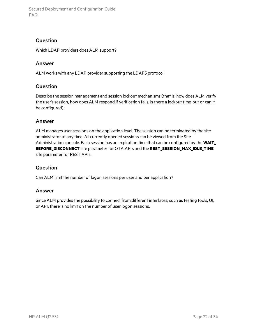#### **Question**

Which LDAP providers does ALM support?

#### Answer

ALM works with any LDAP provider supporting the LDAP3 protocol.

#### Question

Describe the session management and session lockout mechanisms(that is, how does ALM verify the user's session, how does ALM respond if verification fails, is there a lockout time-out or can it be configured).

#### Answer

ALM manages user sessions on the application level. The session can be terminated by the site administrator at any time. All currently opened sessions can be viewed from the Site Administration console. Each session has an expiration time that can be configured by the **WAIT\_ BEFORE\_DISCONNECT** site parameter for OTA APIs and the **REST\_SESSION\_MAX\_IDLE\_TIME** site parameter for REST APIs.

#### Question

Can ALM limit the number of logon sessions per user and per application?

#### Answer

Since ALM provides the possibility to connect from different interfaces, such as testing tools, UI, or API, there is no limit on the number of user logon sessions.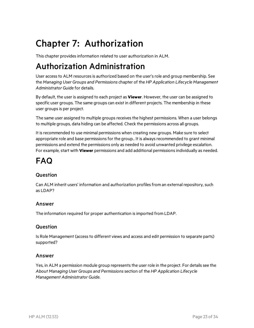# Chapter 7: Authorization

This chapter providesinformation related to user authorization in ALM.

## Authorization Administration

User access to ALM resources is authorized based on the user's role and group membership. See the *Managing User Groups and Permissions* chapter of the *HP Application Lifecycle Management Administrator Guide* for details.

By default, the user is assigned to each project as **Viewer**. However, the user can be assigned to specific user groups. The same groups can exist in different projects. The membership in these user groups is per project.

The same user assigned to multiple groups receives the highest permissions. When a user belongs to multiple groups, data hiding can be affected. Check the permissions across all groups.

It isrecommended to use minimal permissions when creating new groups. Make sure to select appropriate role and base permissions for the group.. It is always recommended to grant minimal permissions and extend the permissions only as needed to avoid unwanted privilege escalation. For example, start with **Viewer** permissions and add additional permissionsindividually as needed.

## FAQ

### Question

Can ALM inherit users' information and authorization profilesfrom an external repository, such as LDAP?

#### Answer

The information required for proper authentication isimported from LDAP.

#### Question

Is Role Management (access to different views and access and edit permission to separate parts) supported?

#### Answer

Yes, in ALM a permission module group represents the user role in the project. For details see the *About Managing User Groups and Permissions*section of the *HP Application Lifecycle Management Administrator Guide*.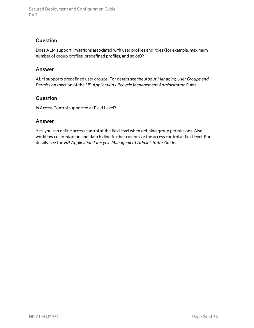#### **Question**

Does ALM support limitations associated with user profiles and roles(for example, maximum number of group profiles, predefined profiles, and so on)?

#### Answer

ALM supports predefined user groups. For detailssee the *About Managing User Groups and Permissions*section of the *HP Application Lifecycle Management Administrator Guide*.

#### Question

Is Access Control supported at Field Level?

#### Answer

Yes, you can define access control at the field level when defining group permissions. Also, workflow customization and data hiding further customize the access control at field level. For details, see the *HP Application Lifecycle Management Administrator Guide*.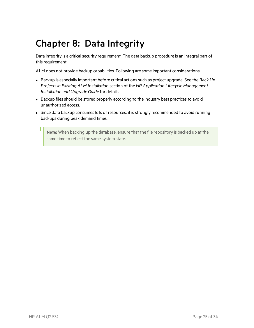# Chapter 8: Data Integrity

Data integrity is a critical security requirement. The data backup procedure is an integral part of this requirement.

ALM does not provide backup capabilities. Following are some important considerations:

- **Example Backup is especially important before critical actions such as project upgrade. See the Back Up** *Projectsin Existing ALM Installation* section of the *HP Application Lifecycle Management Installation and Upgrade Guide* for details.
- Backup files should be stored properly according to the industry best practices to avoid unauthorized access.
- Since data backup consumes lots of resources, it is strongly recommended to avoid running backups during peak demand times.

**Note:** When backing up the database, ensure that the file repository is backed up at the same time to reflect the same system state.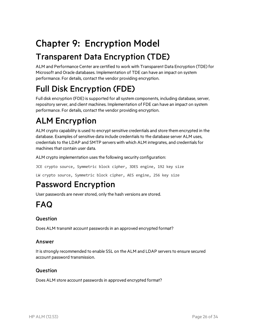# Chapter 9: Encryption Model

## Transparent Data Encryption (TDE)

ALM and Performance Center are certified to work with Transparent Data Encryption (TDE) for Microsoft and Oracle databases. Implementation of TDE can have an impact on system performance. For details, contact the vendor providing encryption.

## Full Disk Encryption (FDE)

Full disk encryption (FDE) is supported for all system components, including database, server, repository server, and client machines. Implementation of FDE can have an impact on system performance. For details, contact the vendor providing encryption.

# ALM Encryption

ALM crypto capability is used to encrypt sensitive credentials and store them encrypted in the database. Examples of sensitive data include credentials to the database server ALM uses, credentials to the LDAP and SMTP servers with which ALM integrates, and credentials for machines that contain user data.

ALM crypto implementation uses the following security configuration:

JCE crypto source, Symmetric block cipher, 3DES engine, 192 key size

LW crypto source, Symmetric block cipher, AES engine, 256 key size

## Password Encryption

User passwords are never stored, only the hash versions are stored.

## FAQ

### Question

Does ALM transmit account passwords in an approved encrypted format?

#### Answer

It is strongly recommended to enable SSL on the ALM and LDAP servers to ensure secured account password transmission.

#### Question

Does ALM store account passwords in approved encrypted format?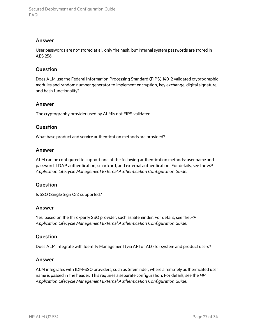#### Answer

User passwords are not stored at all, only the hash; but internal system passwords are stored in AES 256.

#### Question

Does ALM use the Federal Information Processing Standard (FIPS) 140-2 validated cryptographic modules and random number generator to implement encryption, key exchange, digital signature, and hash functionality?

#### Answer

The cryptography provider used by ALMis not FIPS validated.

#### Question

What base product and service authentication methods are provided?

#### Answer

ALM can be configured to support one of the following authentication methods: user name and password, LDAP authentication, smartcard, and external authentication. For details, see the *HP Application Lifecycle Management External Authentication Configuration Guide*.

#### Question

Is SSO (Single Sign On) supported?

#### Answer

Yes, based on the third-party SSO provider, such as Siteminder. For details, see the *HP Application Lifecycle Management External Authentication Configuration Guide*.

#### Question

Does ALM integrate with Identity Management (via API or AD) for system and product users?

#### Answer

ALM integrates with IDM-SSO providers, such as Siteminder, where a remotely authenticated user name is passed in the header. Thisrequires a separate configuration. For details, see the *HP Application Lifecycle Management External Authentication Configuration Guide*.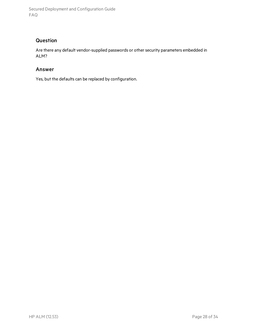### **Question**

Are there any default vendor-supplied passwords or other security parameters embedded in ALM?

#### Answer

Yes, but the defaults can be replaced by configuration.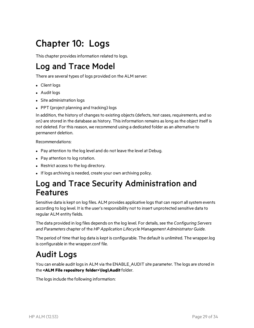# Chapter 10: Logs

This chapter provides information related to logs.

## Log and Trace Model

There are several types of logs provided on the ALM server:

- Client logs
- Audit logs
- Site administration logs
- PPT (project planning and tracking) logs

In addition, the history of changes to existing objects (defects, test cases, requirements, and so on) are stored in the database as history. This information remains as long as the object itself is not deleted. For thisreason, we recommend using a dedicated folder as an alternative to permanent deletion.

Recommendations:

- Pay attention to the log level and do not leave the level at Debug.
- Pay attention to log rotation.
- Restrict access to the log directory.
- If logs archiving is needed, create your own archiving policy.

### Log and Trace Security Administration and Features

Sensitive data is kept on log files. ALM provides applicative logs that can report all system events according to log level. It is the user's responsibility not to insert unprotected sensitive data to regular ALM entity fields.

The data provided in log files depends on the log level. For details, see the *Configuring Servers and Parameters* chapter of the *HP Application Lifecycle Management Administrator Guide*.

The period of time that log data is kept is configurable. The default is unlimited. The wrapper.log is configurable in the wrapper.conf file.

## Audit Logs

You can enable audit logs in ALM via the ENABLE\_AUDIT site parameter. The logs are stored in the **<ALM File repository folder>\log\Audit**folder.

The logs include the following information: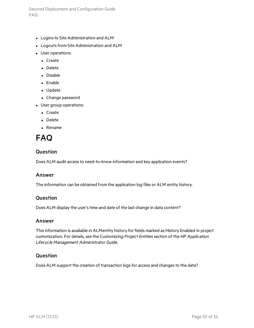- Logins to Site Administration and ALM
- Logouts from Site Administration and ALM
- User operations:
	- Create
	- Delete
	- Disable
	- $\bullet$  Enable
	- Update
	- Change password
- User group operations:
	- Create
	- Delete
	- $\bullet$  Rename

### FAQ

#### Question

Does ALM audit access to need-to-know information and key application events?

#### Answer

The information can be obtained from the application log files or ALM entity history.

#### Question

Does ALM display the user's time and date of the last change in data content?

#### Answer

Thisinformation is available in ALMentity history for fields marked as History Enabled in project customization. For details, see the *Customizing Project Entities*section of the *HP Application Lifecycle Management Administrator Guide*.

#### **Question**

Does ALM support the creation of transaction logs for access and changes to the data?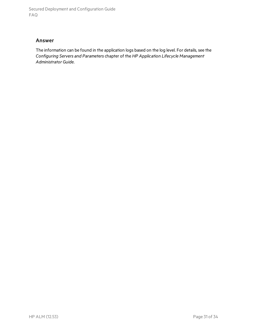#### Answer

The information can be found in the application logs based on the log level. For details, see the *Configuring Servers and Parameters* chapter of the *HP Application Lifecycle Management Administrator Guide*.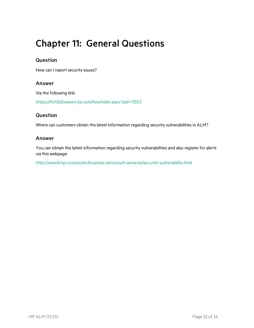## Chapter 11: General Questions

#### Question

How can I report security issues?

#### Answer

Via the following link:

*<https://h41268.www4.hp.com/live/index.aspx?qid=11503>*

#### Question

Where can customers obtain the latest information regarding security vulnerabilities in ALM?

#### Answer

You can obtain the latest information regarding security vulnerabilities and also register for alerts via this webpage:

*<http://www8.hp.com/us/en/business-services/it-services/security-vulnerability.html>*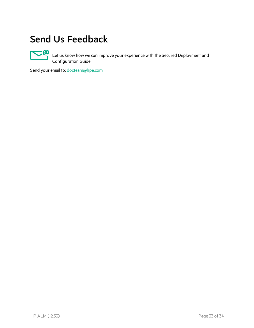## Send Us Feedback



Let us know how we can improve your experience with the Secured Deployment and Configuration Guide.

Send your email to: [docteam@hpe.com](mailto:docteam@hpe.com?subject=Feedback on Secured Deployment and Configuration Guide (ALM 12.53))